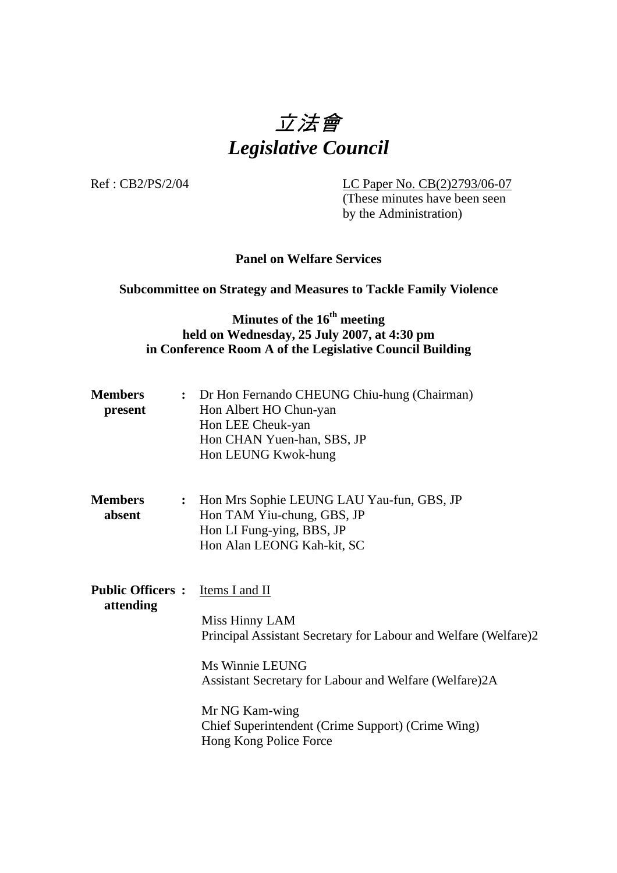# 立法會 *Legislative Council*

Ref : CB2/PS/2/04 LC Paper No. CB(2)2793/06-07 (These minutes have been seen by the Administration)

# **Panel on Welfare Services**

## **Subcommittee on Strategy and Measures to Tackle Family Violence**

# **Minutes of the 16<sup>th</sup> meeting held on Wednesday, 25 July 2007, at 4:30 pm in Conference Room A of the Legislative Council Building**

| <b>Members</b><br>present            |                | : Dr Hon Fernando CHEUNG Chiu-hung (Chairman)<br>Hon Albert HO Chun-yan<br>Hon LEE Cheuk-yan<br>Hon CHAN Yuen-han, SBS, JP<br>Hon LEUNG Kwok-hung                                                                                                                                 |
|--------------------------------------|----------------|-----------------------------------------------------------------------------------------------------------------------------------------------------------------------------------------------------------------------------------------------------------------------------------|
| <b>Members</b><br>absent             | $\ddot{\cdot}$ | Hon Mrs Sophie LEUNG LAU Yau-fun, GBS, JP<br>Hon TAM Yiu-chung, GBS, JP<br>Hon LI Fung-ying, BBS, JP<br>Hon Alan LEONG Kah-kit, SC                                                                                                                                                |
| <b>Public Officers:</b><br>attending |                | Items I and II<br>Miss Hinny LAM<br>Principal Assistant Secretary for Labour and Welfare (Welfare)2<br>Ms Winnie LEUNG<br>Assistant Secretary for Labour and Welfare (Welfare)2A<br>Mr NG Kam-wing<br>Chief Superintendent (Crime Support) (Crime Wing)<br>Hong Kong Police Force |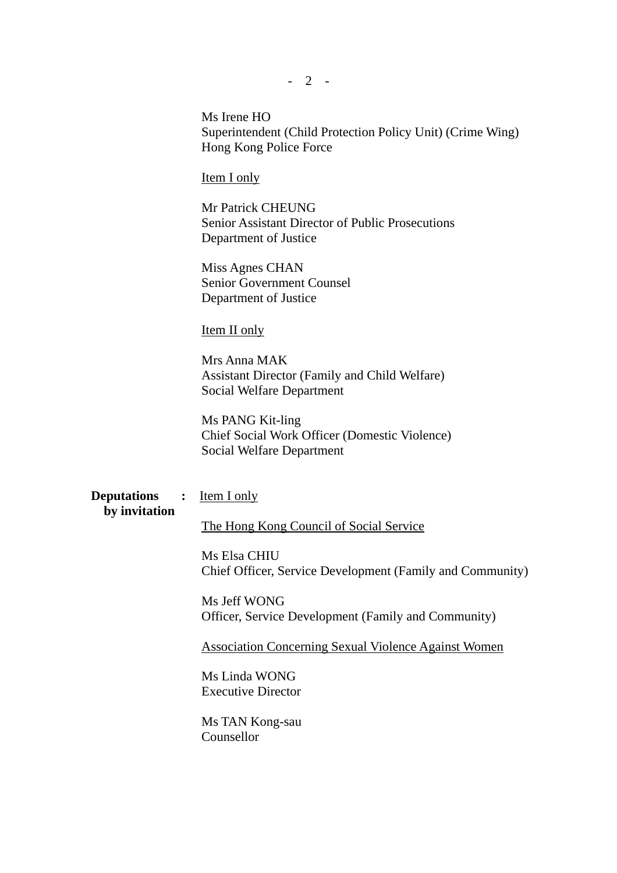Ms Irene HO Superintendent (Child Protection Policy Unit) (Crime Wing) Hong Kong Police Force

Item I only

Mr Patrick CHEUNG Senior Assistant Director of Public Prosecutions Department of Justice

Miss Agnes CHAN Senior Government Counsel Department of Justice

Item II only

Mrs Anna MAK Assistant Director (Family and Child Welfare) Social Welfare Department

Ms PANG Kit-ling Chief Social Work Officer (Domestic Violence) Social Welfare Department

| <b>Deputations</b> : Item I only |                                         |
|----------------------------------|-----------------------------------------|
| by invitation                    |                                         |
|                                  | The Hong Kong Council of Social Service |

Ms Elsa CHIU Chief Officer, Service Development (Family and Community)

Ms Jeff WONG Officer, Service Development (Family and Community)

Association Concerning Sexual Violence Against Women

Ms Linda WONG Executive Director

Ms TAN Kong-sau Counsellor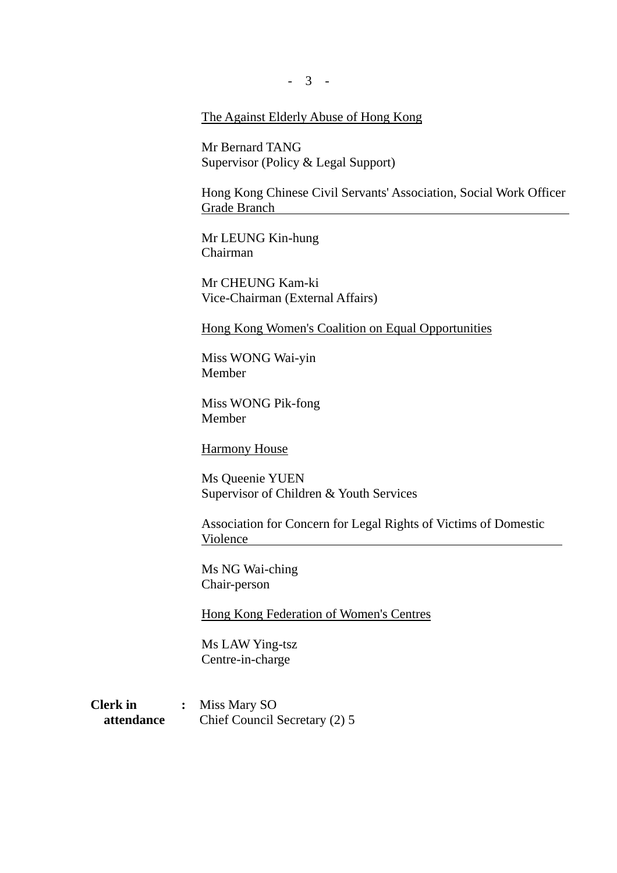- 3 -

## The Against Elderly Abuse of Hong Kong

Mr Bernard TANG Supervisor (Policy & Legal Support)

Hong Kong Chinese Civil Servants' Association, Social Work Officer Grade Branch

Mr LEUNG Kin-hung Chairman

Mr CHEUNG Kam-ki Vice-Chairman (External Affairs)

Hong Kong Women's Coalition on Equal Opportunities

Miss WONG Wai-yin Member

Miss WONG Pik-fong Member

Harmony House

Ms Queenie YUEN Supervisor of Children & Youth Services

Association for Concern for Legal Rights of Victims of Domestic Violence

Ms NG Wai-ching Chair-person

Hong Kong Federation of Women's Centres

Ms LAW Ying-tsz Centre-in-charge

**Clerk in :** Miss Mary SO **attendance** Chief Council Secretary (2) 5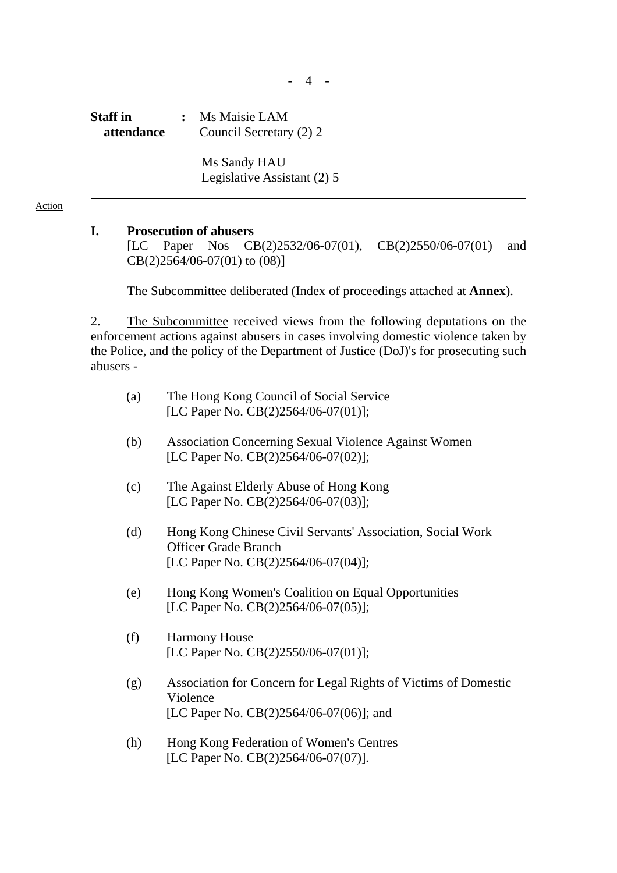- 4 -

**Staff in :** Ms Maisie LAM **attendance** Council Secretary (2) 2

> Ms Sandy HAU Legislative Assistant (2) 5

#### Action

## **I. Prosecution of abusers**

[LC Paper Nos CB(2)2532/06-07(01), CB(2)2550/06-07(01) and CB(2)2564/06-07(01) to (08)]

The Subcommittee deliberated (Index of proceedings attached at **Annex**).

2. The Subcommittee received views from the following deputations on the enforcement actions against abusers in cases involving domestic violence taken by the Police, and the policy of the Department of Justice (DoJ)'s for prosecuting such abusers -

| (a) | The Hong Kong Council of Social Service |
|-----|-----------------------------------------|
|     | [LC Paper No. $CB(2)2564/06-07(01)$ ];  |

- (b) Association Concerning Sexual Violence Against Women [LC Paper No. CB(2)2564/06-07(02)];
- (c) The Against Elderly Abuse of Hong Kong [LC Paper No. CB(2)2564/06-07(03)];
- (d) Hong Kong Chinese Civil Servants' Association, Social Work Officer Grade Branch [LC Paper No. CB(2)2564/06-07(04)];
- (e) Hong Kong Women's Coalition on Equal Opportunities [LC Paper No. CB(2)2564/06-07(05)];
- (f) Harmony House [LC Paper No. CB(2)2550/06-07(01)];
- (g) Association for Concern for Legal Rights of Victims of Domestic Violence [LC Paper No. CB(2)2564/06-07(06)]; and
- (h) Hong Kong Federation of Women's Centres [LC Paper No. CB(2)2564/06-07(07)].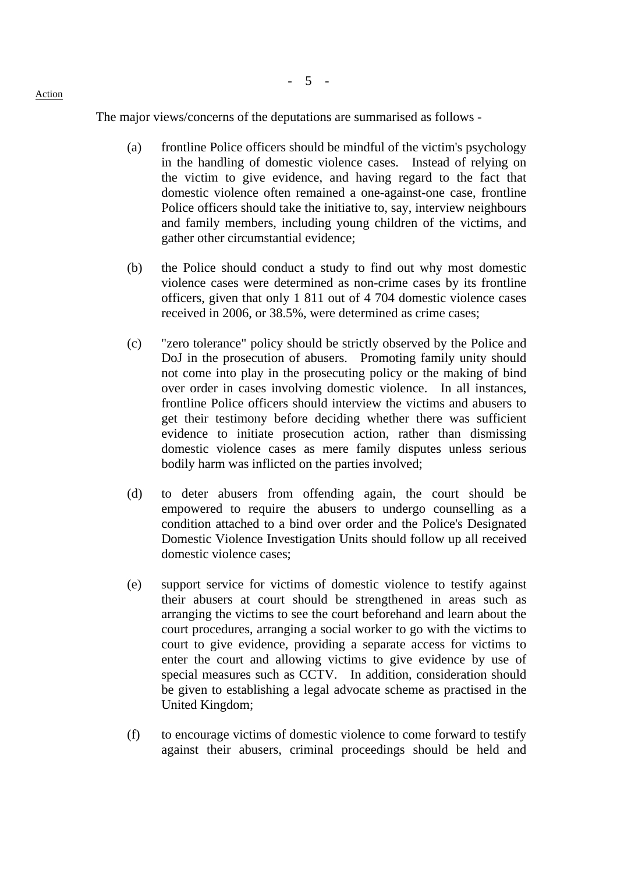- 5 -

The major views/concerns of the deputations are summarised as follows -

- (a) frontline Police officers should be mindful of the victim's psychology in the handling of domestic violence cases. Instead of relying on the victim to give evidence, and having regard to the fact that domestic violence often remained a one-against-one case, frontline Police officers should take the initiative to, say, interview neighbours and family members, including young children of the victims, and gather other circumstantial evidence;
- (b) the Police should conduct a study to find out why most domestic violence cases were determined as non-crime cases by its frontline officers, given that only 1 811 out of 4 704 domestic violence cases received in 2006, or 38.5%, were determined as crime cases;
- (c) "zero tolerance" policy should be strictly observed by the Police and DoJ in the prosecution of abusers. Promoting family unity should not come into play in the prosecuting policy or the making of bind over order in cases involving domestic violence. In all instances, frontline Police officers should interview the victims and abusers to get their testimony before deciding whether there was sufficient evidence to initiate prosecution action, rather than dismissing domestic violence cases as mere family disputes unless serious bodily harm was inflicted on the parties involved;
- (d) to deter abusers from offending again, the court should be empowered to require the abusers to undergo counselling as a condition attached to a bind over order and the Police's Designated Domestic Violence Investigation Units should follow up all received domestic violence cases;
- (e) support service for victims of domestic violence to testify against their abusers at court should be strengthened in areas such as arranging the victims to see the court beforehand and learn about the court procedures, arranging a social worker to go with the victims to court to give evidence, providing a separate access for victims to enter the court and allowing victims to give evidence by use of special measures such as CCTV. In addition, consideration should be given to establishing a legal advocate scheme as practised in the United Kingdom;
- (f) to encourage victims of domestic violence to come forward to testify against their abusers, criminal proceedings should be held and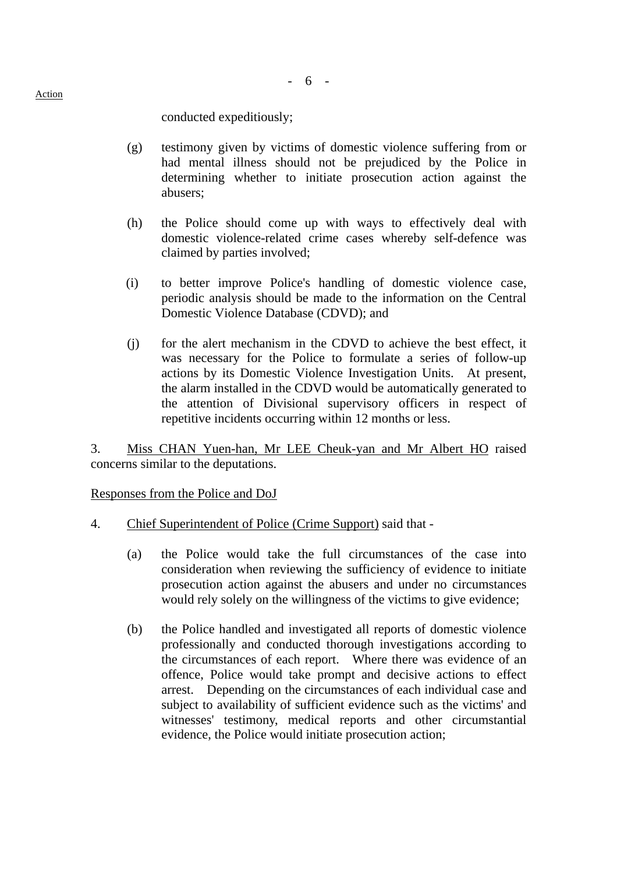- 6 -

conducted expeditiously;

- (g) testimony given by victims of domestic violence suffering from or had mental illness should not be prejudiced by the Police in determining whether to initiate prosecution action against the abusers;
- (h) the Police should come up with ways to effectively deal with domestic violence-related crime cases whereby self-defence was claimed by parties involved;
- (i) to better improve Police's handling of domestic violence case, periodic analysis should be made to the information on the Central Domestic Violence Database (CDVD); and
- (j) for the alert mechanism in the CDVD to achieve the best effect, it was necessary for the Police to formulate a series of follow-up actions by its Domestic Violence Investigation Units. At present, the alarm installed in the CDVD would be automatically generated to the attention of Divisional supervisory officers in respect of repetitive incidents occurring within 12 months or less.

3. Miss CHAN Yuen-han, Mr LEE Cheuk-yan and Mr Albert HO raised concerns similar to the deputations.

Responses from the Police and DoJ

- 4. Chief Superintendent of Police (Crime Support) said that
	- (a) the Police would take the full circumstances of the case into consideration when reviewing the sufficiency of evidence to initiate prosecution action against the abusers and under no circumstances would rely solely on the willingness of the victims to give evidence;
	- (b) the Police handled and investigated all reports of domestic violence professionally and conducted thorough investigations according to the circumstances of each report. Where there was evidence of an offence, Police would take prompt and decisive actions to effect arrest. Depending on the circumstances of each individual case and subject to availability of sufficient evidence such as the victims' and witnesses' testimony, medical reports and other circumstantial evidence, the Police would initiate prosecution action;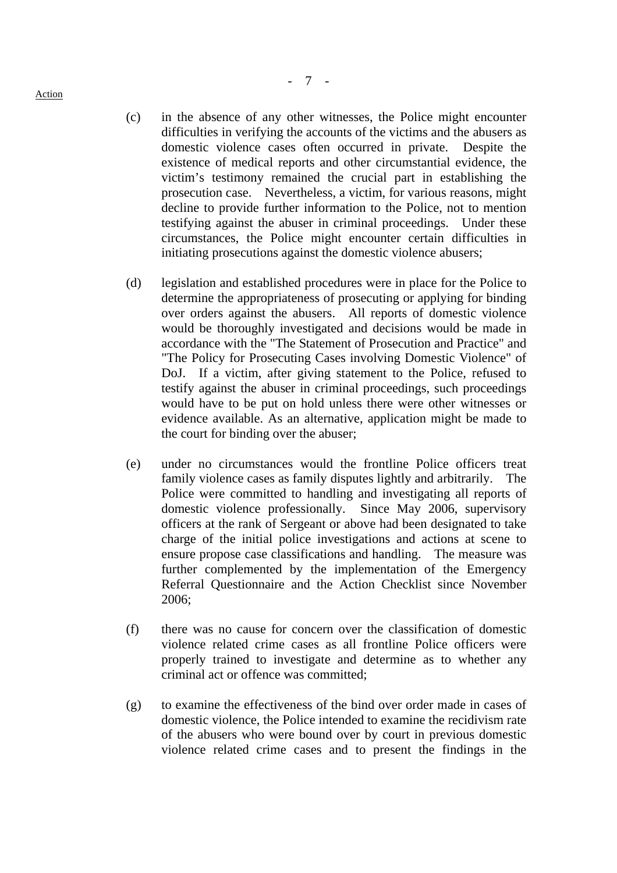- (c) in the absence of any other witnesses, the Police might encounter difficulties in verifying the accounts of the victims and the abusers as domestic violence cases often occurred in private. Despite the existence of medical reports and other circumstantial evidence, the victim's testimony remained the crucial part in establishing the prosecution case. Nevertheless, a victim, for various reasons, might decline to provide further information to the Police, not to mention testifying against the abuser in criminal proceedings. Under these circumstances, the Police might encounter certain difficulties in initiating prosecutions against the domestic violence abusers;
- (d) legislation and established procedures were in place for the Police to determine the appropriateness of prosecuting or applying for binding over orders against the abusers. All reports of domestic violence would be thoroughly investigated and decisions would be made in accordance with the "The Statement of Prosecution and Practice" and "The Policy for Prosecuting Cases involving Domestic Violence" of DoJ. If a victim, after giving statement to the Police, refused to testify against the abuser in criminal proceedings, such proceedings would have to be put on hold unless there were other witnesses or evidence available. As an alternative, application might be made to the court for binding over the abuser;
- (e) under no circumstances would the frontline Police officers treat family violence cases as family disputes lightly and arbitrarily. The Police were committed to handling and investigating all reports of domestic violence professionally. Since May 2006, supervisory officers at the rank of Sergeant or above had been designated to take charge of the initial police investigations and actions at scene to ensure propose case classifications and handling. The measure was further complemented by the implementation of the Emergency Referral Questionnaire and the Action Checklist since November 2006;
- (f) there was no cause for concern over the classification of domestic violence related crime cases as all frontline Police officers were properly trained to investigate and determine as to whether any criminal act or offence was committed;
- (g) to examine the effectiveness of the bind over order made in cases of domestic violence, the Police intended to examine the recidivism rate of the abusers who were bound over by court in previous domestic violence related crime cases and to present the findings in the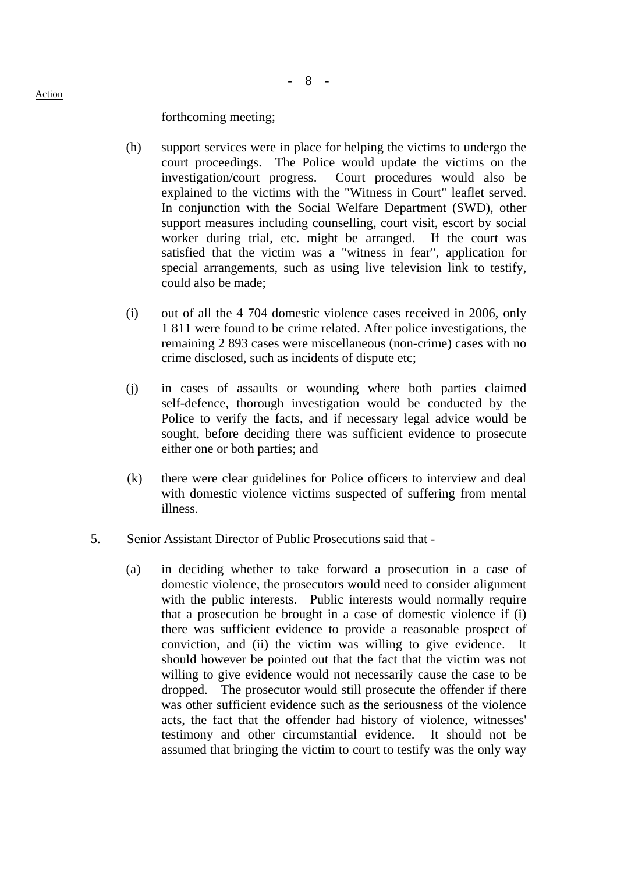forthcoming meeting;

- (h) support services were in place for helping the victims to undergo the court proceedings. The Police would update the victims on the investigation/court progress. Court procedures would also be explained to the victims with the "Witness in Court" leaflet served. In conjunction with the Social Welfare Department (SWD), other support measures including counselling, court visit, escort by social worker during trial, etc. might be arranged. If the court was satisfied that the victim was a "witness in fear", application for special arrangements, such as using live television link to testify, could also be made;
- (i) out of all the 4 704 domestic violence cases received in 2006, only 1 811 were found to be crime related. After police investigations, the remaining 2 893 cases were miscellaneous (non-crime) cases with no crime disclosed, such as incidents of dispute etc;
- (j) in cases of assaults or wounding where both parties claimed self-defence, thorough investigation would be conducted by the Police to verify the facts, and if necessary legal advice would be sought, before deciding there was sufficient evidence to prosecute either one or both parties; and
- (k) there were clear guidelines for Police officers to interview and deal with domestic violence victims suspected of suffering from mental illness.
- 5. Senior Assistant Director of Public Prosecutions said that
	- (a) in deciding whether to take forward a prosecution in a case of domestic violence, the prosecutors would need to consider alignment with the public interests. Public interests would normally require that a prosecution be brought in a case of domestic violence if (i) there was sufficient evidence to provide a reasonable prospect of conviction, and (ii) the victim was willing to give evidence. It should however be pointed out that the fact that the victim was not willing to give evidence would not necessarily cause the case to be dropped. The prosecutor would still prosecute the offender if there was other sufficient evidence such as the seriousness of the violence acts, the fact that the offender had history of violence, witnesses' testimony and other circumstantial evidence. It should not be assumed that bringing the victim to court to testify was the only way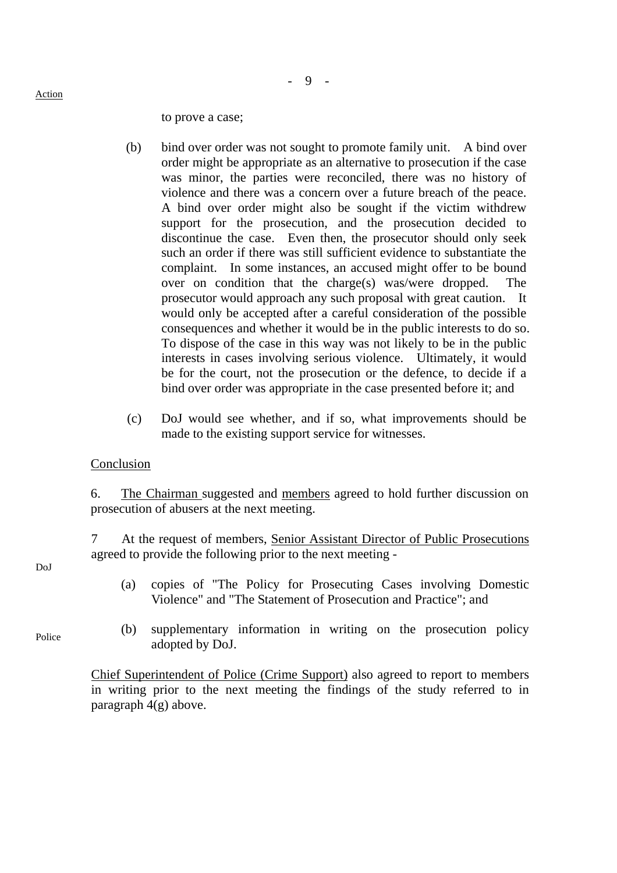Action

- 9 -

to prove a case;

- (b) bind over order was not sought to promote family unit. A bind over order might be appropriate as an alternative to prosecution if the case was minor, the parties were reconciled, there was no history of violence and there was a concern over a future breach of the peace. A bind over order might also be sought if the victim withdrew support for the prosecution, and the prosecution decided to discontinue the case. Even then, the prosecutor should only seek such an order if there was still sufficient evidence to substantiate the complaint. In some instances, an accused might offer to be bound over on condition that the charge(s) was/were dropped. The prosecutor would approach any such proposal with great caution. It would only be accepted after a careful consideration of the possible consequences and whether it would be in the public interests to do so. To dispose of the case in this way was not likely to be in the public interests in cases involving serious violence. Ultimately, it would be for the court, not the prosecution or the defence, to decide if a bind over order was appropriate in the case presented before it; and
- (c) DoJ would see whether, and if so, what improvements should be made to the existing support service for witnesses.

#### Conclusion

6. The Chairman suggested and members agreed to hold further discussion on prosecution of abusers at the next meeting.

7 At the request of members, Senior Assistant Director of Public Prosecutions agreed to provide the following prior to the next meeting -

- (a) copies of "The Policy for Prosecuting Cases involving Domestic Violence" and "The Statement of Prosecution and Practice"; and
- (b) supplementary information in writing on the prosecution policy adopted by DoJ.

Chief Superintendent of Police (Crime Support) also agreed to report to members in writing prior to the next meeting the findings of the study referred to in paragraph 4(g) above.

DoJ

Police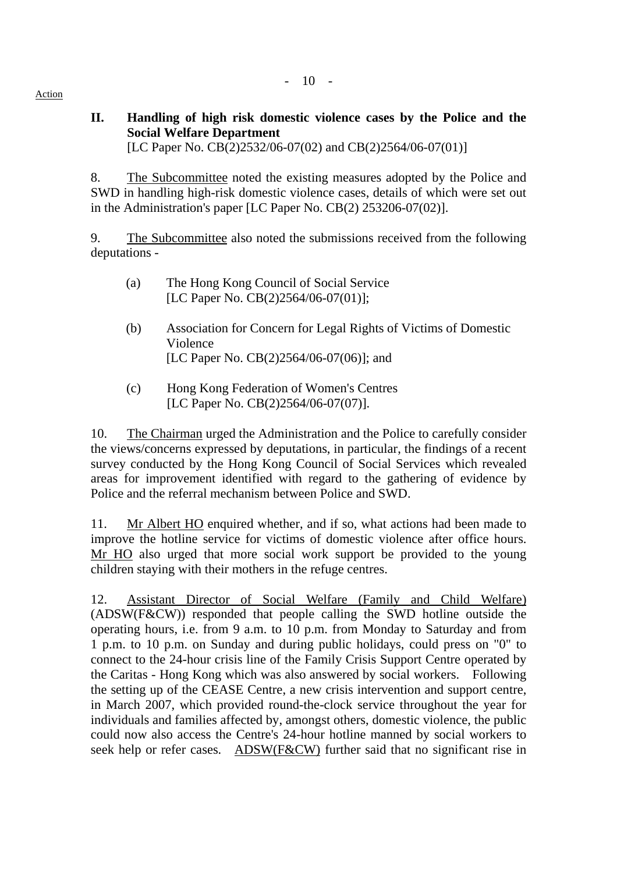**II. Handling of high risk domestic violence cases by the Police and the Social Welfare Department** 

[LC Paper No. CB(2)2532/06-07(02) and CB(2)2564/06-07(01)]

8. The Subcommittee noted the existing measures adopted by the Police and SWD in handling high-risk domestic violence cases, details of which were set out in the Administration's paper [LC Paper No. CB(2) 253206-07(02)].

9. The Subcommittee also noted the submissions received from the following deputations -

| (a) | The Hong Kong Council of Social Service |
|-----|-----------------------------------------|
|     | [LC Paper No. $CB(2)2564/06-07(01)$ ];  |

- (b) Association for Concern for Legal Rights of Victims of Domestic Violence [LC Paper No. CB(2)2564/06-07(06)]; and
- (c) Hong Kong Federation of Women's Centres [LC Paper No. CB(2)2564/06-07(07)].

10. The Chairman urged the Administration and the Police to carefully consider the views/concerns expressed by deputations, in particular, the findings of a recent survey conducted by the Hong Kong Council of Social Services which revealed areas for improvement identified with regard to the gathering of evidence by Police and the referral mechanism between Police and SWD.

11. Mr Albert HO enquired whether, and if so, what actions had been made to improve the hotline service for victims of domestic violence after office hours. Mr HO also urged that more social work support be provided to the young children staying with their mothers in the refuge centres.

12. Assistant Director of Social Welfare (Family and Child Welfare) (ADSW(F&CW)) responded that people calling the SWD hotline outside the operating hours, i.e. from 9 a.m. to 10 p.m. from Monday to Saturday and from 1 p.m. to 10 p.m. on Sunday and during public holidays, could press on "0" to connect to the 24-hour crisis line of the Family Crisis Support Centre operated by the Caritas - Hong Kong which was also answered by social workers. Following the setting up of the CEASE Centre, a new crisis intervention and support centre, in March 2007, which provided round-the-clock service throughout the year for individuals and families affected by, amongst others, domestic violence, the public could now also access the Centre's 24-hour hotline manned by social workers to seek help or refer cases. ADSW(F&CW) further said that no significant rise in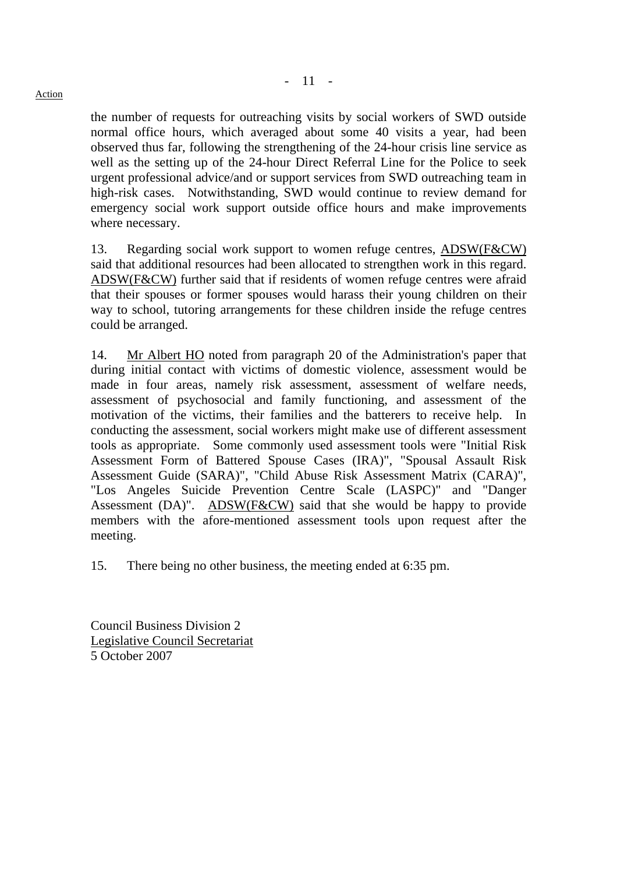#### **Action**

the number of requests for outreaching visits by social workers of SWD outside normal office hours, which averaged about some 40 visits a year, had been observed thus far, following the strengthening of the 24-hour crisis line service as well as the setting up of the 24-hour Direct Referral Line for the Police to seek urgent professional advice/and or support services from SWD outreaching team in high-risk cases. Notwithstanding, SWD would continue to review demand for emergency social work support outside office hours and make improvements where necessary.

13. Regarding social work support to women refuge centres, ADSW(F&CW) said that additional resources had been allocated to strengthen work in this regard. ADSW(F&CW) further said that if residents of women refuge centres were afraid that their spouses or former spouses would harass their young children on their way to school, tutoring arrangements for these children inside the refuge centres could be arranged.

14. Mr Albert HO noted from paragraph 20 of the Administration's paper that during initial contact with victims of domestic violence, assessment would be made in four areas, namely risk assessment, assessment of welfare needs, assessment of psychosocial and family functioning, and assessment of the motivation of the victims, their families and the batterers to receive help. In conducting the assessment, social workers might make use of different assessment tools as appropriate. Some commonly used assessment tools were "Initial Risk Assessment Form of Battered Spouse Cases (IRA)", "Spousal Assault Risk Assessment Guide (SARA)", "Child Abuse Risk Assessment Matrix (CARA)", "Los Angeles Suicide Prevention Centre Scale (LASPC)" and "Danger Assessment (DA)". ADSW(F&CW) said that she would be happy to provide members with the afore-mentioned assessment tools upon request after the meeting.

15. There being no other business, the meeting ended at 6:35 pm.

Council Business Division 2 Legislative Council Secretariat 5 October 2007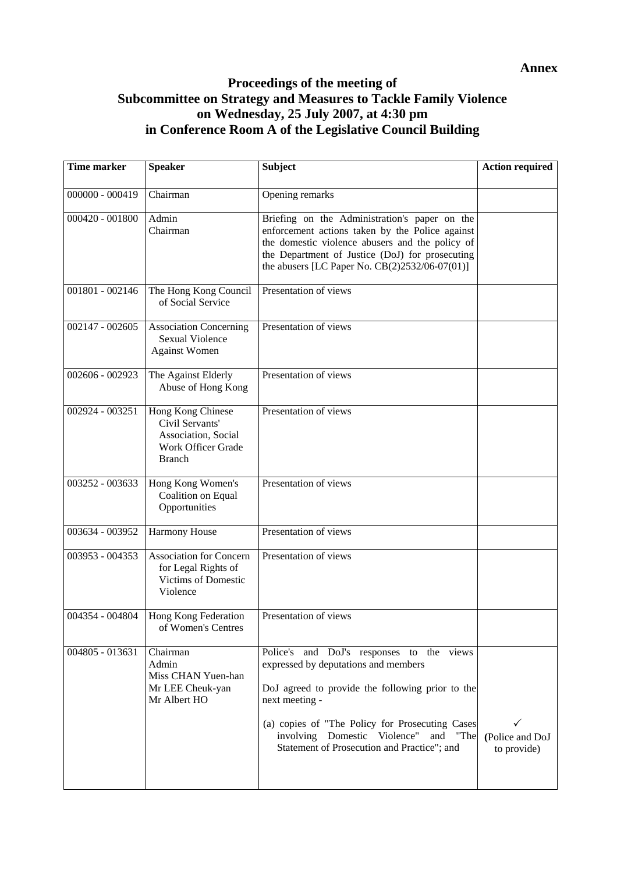# **Proceedings of the meeting of Subcommittee on Strategy and Measures to Tackle Family Violence on Wednesday, 25 July 2007, at 4:30 pm in Conference Room A of the Legislative Council Building**

| <b>Time marker</b> | <b>Speaker</b>                                                                                     | <b>Subject</b>                                                                                                                                                                                                                                                                                        | <b>Action required</b>         |
|--------------------|----------------------------------------------------------------------------------------------------|-------------------------------------------------------------------------------------------------------------------------------------------------------------------------------------------------------------------------------------------------------------------------------------------------------|--------------------------------|
| $000000 - 000419$  | Chairman                                                                                           | Opening remarks                                                                                                                                                                                                                                                                                       |                                |
| $000420 - 001800$  | Admin<br>Chairman                                                                                  | Briefing on the Administration's paper on the<br>enforcement actions taken by the Police against<br>the domestic violence abusers and the policy of<br>the Department of Justice (DoJ) for prosecuting<br>the abusers [LC Paper No. $CB(2)2532/06-07(01)$ ]                                           |                                |
| 001801 - 002146    | The Hong Kong Council<br>of Social Service                                                         | Presentation of views                                                                                                                                                                                                                                                                                 |                                |
| 002147 - 002605    | <b>Association Concerning</b><br><b>Sexual Violence</b><br><b>Against Women</b>                    | Presentation of views                                                                                                                                                                                                                                                                                 |                                |
| 002606 - 002923    | The Against Elderly<br>Abuse of Hong Kong                                                          | Presentation of views                                                                                                                                                                                                                                                                                 |                                |
| 002924 - 003251    | Hong Kong Chinese<br>Civil Servants'<br>Association, Social<br>Work Officer Grade<br><b>Branch</b> | Presentation of views                                                                                                                                                                                                                                                                                 |                                |
| 003252 - 003633    | Hong Kong Women's<br>Coalition on Equal<br>Opportunities                                           | Presentation of views                                                                                                                                                                                                                                                                                 |                                |
| 003634 - 003952    | Harmony House                                                                                      | Presentation of views                                                                                                                                                                                                                                                                                 |                                |
| 003953 - 004353    | <b>Association for Concern</b><br>for Legal Rights of<br>Victims of Domestic<br>Violence           | Presentation of views                                                                                                                                                                                                                                                                                 |                                |
| 004354 - 004804    | Hong Kong Federation<br>of Women's Centres                                                         | Presentation of views                                                                                                                                                                                                                                                                                 |                                |
| 004805 - 013631    | Chairman<br>Admin<br>Miss CHAN Yuen-han<br>Mr LEE Cheuk-yan<br>Mr Albert HO                        | Police's and DoJ's responses to the views<br>expressed by deputations and members<br>DoJ agreed to provide the following prior to the<br>next meeting -<br>(a) copies of "The Policy for Prosecuting Cases<br>involving Domestic Violence"<br>and "The<br>Statement of Prosecution and Practice"; and | (Police and DoJ<br>to provide) |